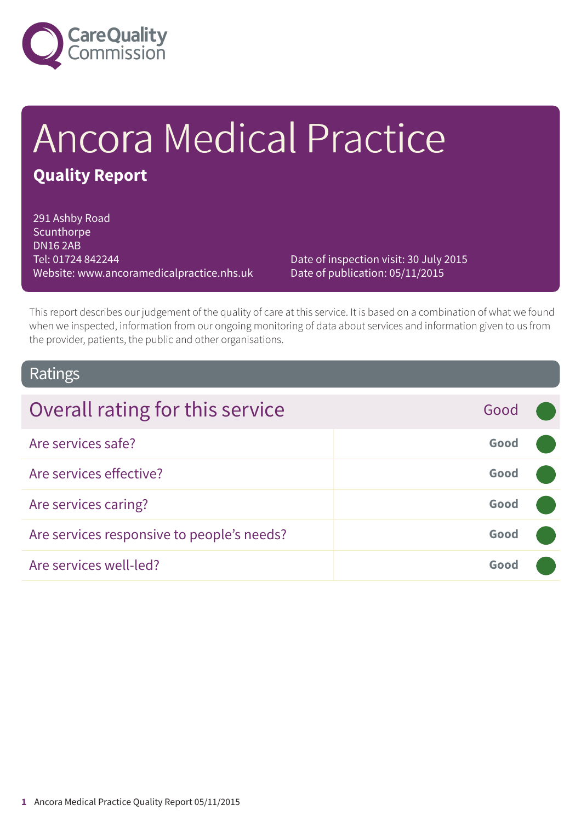

# Ancora Medical Practice **Quality Report**

291 Ashby Road Scunthorpe DN16 2AB Tel: 01724 842244 Website: www.ancoramedicalpractice.nhs.uk

Date of inspection visit: 30 July 2015 Date of publication: 05/11/2015

This report describes our judgement of the quality of care at this service. It is based on a combination of what we found when we inspected, information from our ongoing monitoring of data about services and information given to us from the provider, patients, the public and other organisations.

### Ratings

| Overall rating for this service            | Good |  |
|--------------------------------------------|------|--|
| Are services safe?                         | Good |  |
| Are services effective?                    | Good |  |
| Are services caring?                       | Good |  |
| Are services responsive to people's needs? | Good |  |
| Are services well-led?                     | Good |  |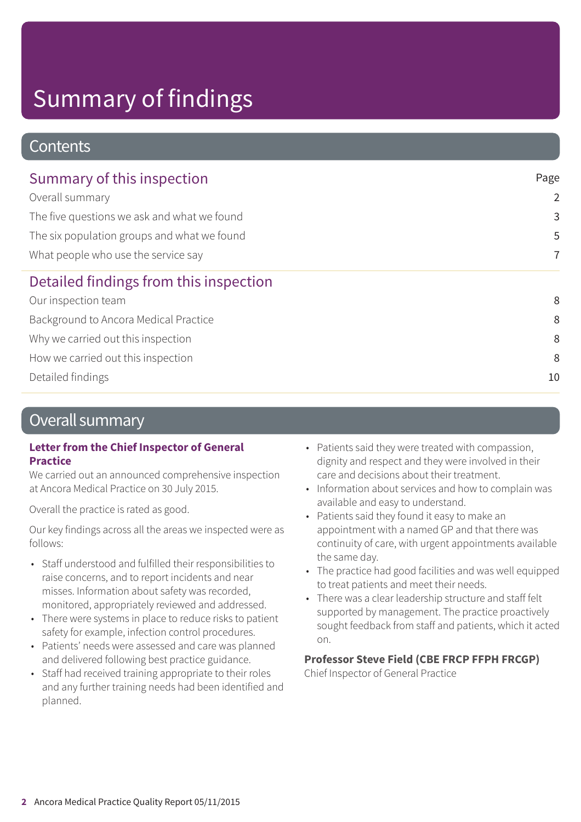# Summary of findings

### **Contents**

| Page           |
|----------------|
| $\overline{2}$ |
| 3              |
| 5              |
| $\overline{7}$ |
|                |
| 8              |
| 8              |
| 8              |
| 8              |
| 10             |
|                |

### Overall summary

### **Letter from the Chief Inspector of General Practice**

We carried out an announced comprehensive inspection at Ancora Medical Practice on 30 July 2015.

Overall the practice is rated as good.

Our key findings across all the areas we inspected were as follows:

- Staff understood and fulfilled their responsibilities to raise concerns, and to report incidents and near misses. Information about safety was recorded, monitored, appropriately reviewed and addressed.
- There were systems in place to reduce risks to patient safety for example, infection control procedures.
- Patients' needs were assessed and care was planned and delivered following best practice guidance.
- Staff had received training appropriate to their roles and any further training needs had been identified and planned.
- Patients said they were treated with compassion, dignity and respect and they were involved in their care and decisions about their treatment.
- Information about services and how to complain was available and easy to understand.
- Patients said they found it easy to make an appointment with a named GP and that there was continuity of care, with urgent appointments available the same day.
- The practice had good facilities and was well equipped to treat patients and meet their needs.
- There was a clear leadership structure and staff felt supported by management. The practice proactively sought feedback from staff and patients, which it acted on.

### **Professor Steve Field (CBE FRCP FFPH FRCGP)**

Chief Inspector of General Practice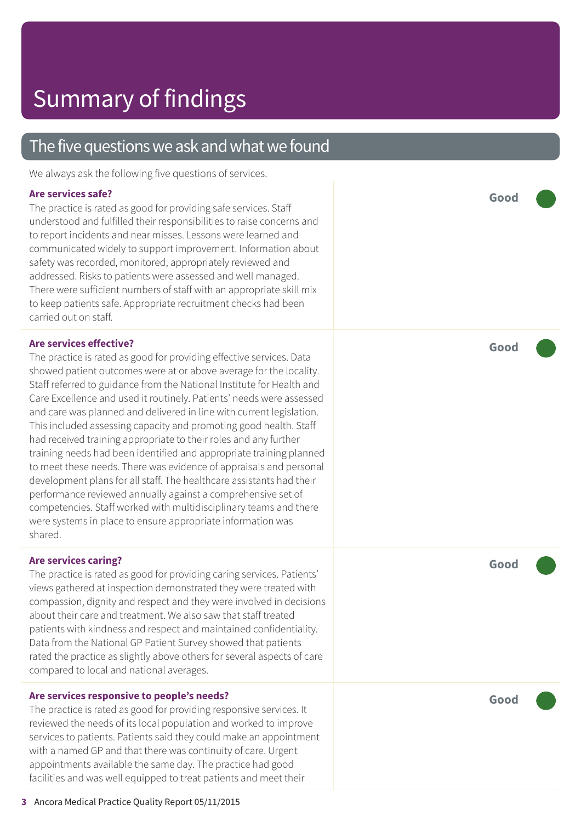### The five questions we ask and what we found

We always ask the following five questions of services.

### **Ar e services safe ?**

The practic e is rated as good for providing saf e services. Staff understood and fulfilled their responsibilities t o raise concerns and t o report incidents and near misses. Lessons wer e learned and communicated widely t o support improvement. Information about saf ety was recorded, monitored, appropriately r eviewed and addressed. Risks to patients were assessed and well managed. Ther e wer e sufficient number s of staff with an appropriat e skill mix t o keep patients safe. Appropriat e recruitment checks had been carried out on staff.

#### **Ar e services effective ?**

The practice is rated as good for providing effective services. Data showed patient out comes wer e at or above averag e for the locality. Staff referred to guidance from the National Institute for Health and Care Excellence and used it routinely. Patients' needs were assessed and car e was planned and delivered in line with current legislation. This included assessing capacity and promoting good health. Staff had received training appropriat e t o their roles and any further training needs had been identified and appropriat e training planned t o mee t these needs. Ther e was evidenc e of appraisals and personal development plans for all staff. The healthcar e assistants had their performance reviewed annually against a comprehensive set of compe tencies. Staff worked with multidisciplinar y t eams and ther e wer e systems in plac e t o ensur e appropriat e information was shared.

#### **Ar e services caring ?**

The practice is rated as good for providing caring services. Patients' views gathered at inspection demonstrated the y wer e tr eated with compassion, dignity and respect and they were involved in decisions about their care and treatment. We also saw that staff treated patients with kindness and respect and maintained confidentiality. Data from the National GP Patient Survey showed that patients rated the practice as slightly above others for several aspects of care compared t o local and national averages.

#### **Ar e services responsive t o people ' s needs ?**

The practice is rated as good for providing responsive services. It r eviewed the needs of its local population and worked t o improve services t o patients. Patients said the y could mak e an appointment with a named GP and that ther e was continuity of care. Ur gent appointments available the same day. The practic e had good facilities and was well equipped to treat patients and meet their

**Good –––**

**Good –––**

**Good –––**

**Good –––**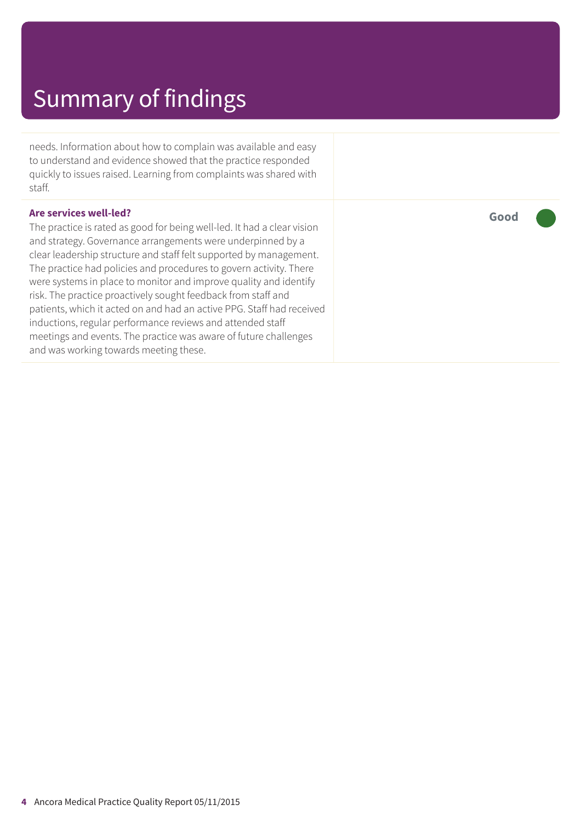## Summary of findings

needs. Information about how to complain was available and easy to understand and evidence showed that the practice responded quickly to issues raised. Learning from complaints was shared with staff.

#### **Are services well-led?**

The practice is rated as good for being well-led. It had a clear vision and strategy. Governance arrangements were underpinned by a clear leadership structure and staff felt supported by management. The practice had policies and procedures to govern activity. There were systems in place to monitor and improve quality and identify risk. The practice proactively sought feedback from staff and patients, which it acted on and had an active PPG. Staff had received inductions, regular performance reviews and attended staff meetings and events. The practice was aware of future challenges and was working towards meeting these.

**Good –––**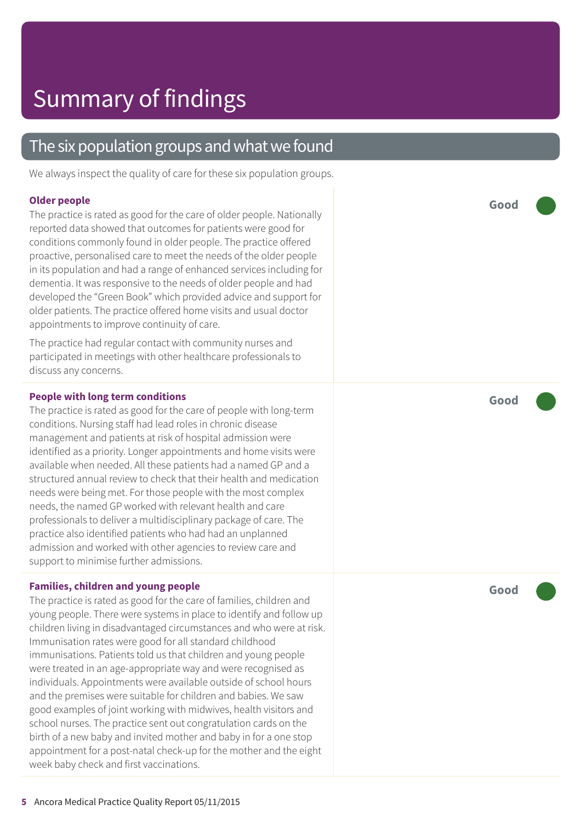### The six population groups and what we found

We always inspect the quality of care for these six population groups.

#### **Older people**

The practice is rated as good for the care of older people. Nationally reported dat a showed that out comes for patients wer e good for conditions commonly found in older people. The practic e offered proactive, personalised care to meet the needs of the older people in its population and had a range of enhanced services including for dementia. It was responsive to the needs of older people and had developed the "Green Book " which provided advic e and support for older patients. The practic e offered home visits and usual doctor appointments t o improve continuity of care.

The practice had regular contact with community nurses and participated in meetings with other healthcar e professionals t o discuss any concerns.

#### **People with long term conditions**

The practice is rated as good for the care of people with long-term conditions. Nursing staff had lead roles in chronic disease management and patients at risk of hospital admission wer e identified as a priority. Longer appointments and home visits wer e available when needed. All these patients had a named GP and a structured annual review to check that their health and medication needs wer e being me t. For those people with the most complex needs, the named GP worked with relevant health and care professionals t o deliver a multidisciplinar y packag e of care. The practic e also identified patients who had had an unplanned admission and worked with other agencies to review care and support to minimise further admissions.

#### **Families, children and young people**

The practice is rated as good for the care of families, children and young people. Ther e wer e systems in plac e t o identify and follow up children living in disadvantaged circumstances and who wer e at risk. Immunisation rates wer e good for all standar d childhood immunisations. Patients told us that children and young people wer e tr eated in an ag e-appropriat e way and wer e recognised as individuals. Appointments wer e available outside of school hour s and the premises wer e suitable for children and babies. We saw good examples of joint working with midwives, health visitor s and school nurses. The practic e sent out congratulation cards on the birth of a ne w baby and invited mother and baby in for a one stop appointment for a post-natal check-up for the mother and the eight week baby check and first vaccinations.

**Good –––**

**Good –––**

**Good –––**

**5** Ancora Medical Practice Quality Report 05/11/2015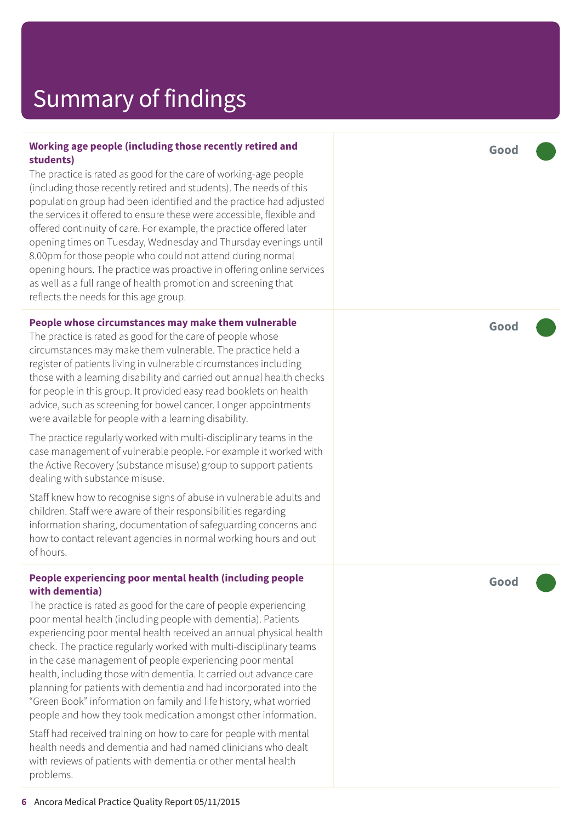## Summar y of findings

#### **Working ag e people (including those recently r etired and students)**

The practice is rated as good for the care of working-age people (including those recently retired and students). The needs of this population group had been identified and the practic e had adjusted the services it offered to ensure these were accessible, flexible and offered continuity of care. For example, the practic e offered later opening times on Tuesday , Wednesday and Thursday evenings until 8.00pm for those people who could not attend during normal opening hours. The practice was proactive in offering online services as well as a full rang e of health promotion and screening that reflects the needs for this ag e group.

#### **People whose circumstances may mak e them vulnerable**

The practice is rated as good for the care of people whose circumstances may mak e them vulnerable. The practic e held a register of patients living in vulnerable circumstances including those with a learning disability and carried out annual health checks for people in this group. It provided easy r ead booklets on health advice, such as screening for bowel cancer. Longer appointments wer e available for people with a learning disability.

The practice regularly worked with multi-disciplinary teams in the case management of vulnerable people. For example it worked with the Active Recover y (substanc e misuse) group t o support patients dealing with substanc e misuse.

Staff kne w how t o recognise signs of abuse in vulnerable adults and children. Staff wer e awar e of their responsibilities r e garding information sharing, documentation of saf eguarding concerns and how to contact relevant agencies in normal working hours and out of hours.

#### **People experiencing poor mental health (including people with dementia)**

The practice is rated as good for the care of people experiencing poor mental health (including people with dementia). Patients experiencing poor mental health received an annual physical health check. The practice regularly worked with multi-disciplinary teams in the case management of people experiencing poor mental health, including those with dementia. It carried out advanc e car e planning for patients with dementia and had incorporated into the "Green Book " information on family and lif e histor y , what worried people and how the y took medication amongst other information.

Staff had received training on how t o car e for people with mental health needs and dementia and had named clinicians who dealt with r eviews of patients with dementia or other mental health problems.

**Good –––**

**Good –––**

**Good –––**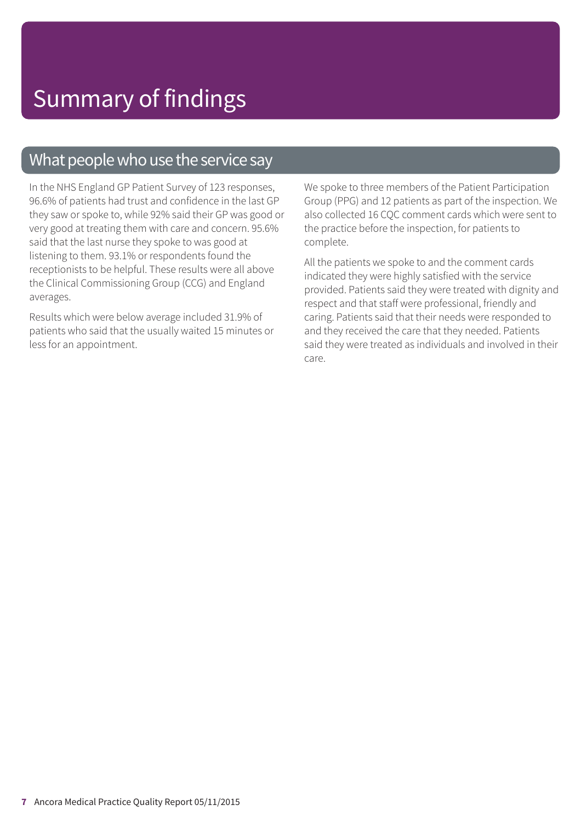### What people who use the service say

In the NHS England GP Patient Survey of 123 responses, 96.6% of patients had trust and confidence in the last GP they saw or spoke to, while 92% said their GP was good or very good at treating them with care and concern. 95.6% said that the last nurse they spoke to was good at listening to them. 93.1% or respondents found the receptionists to be helpful. These results were all above the Clinical Commissioning Group (CCG) and England averages.

Results which were below average included 31.9% of patients who said that the usually waited 15 minutes or less for an appointment.

We spoke to three members of the Patient Participation Group (PPG) and 12 patients as part of the inspection. We also collected 16 CQC comment cards which were sent to the practice before the inspection, for patients to complete.

All the patients we spoke to and the comment cards indicated they were highly satisfied with the service provided. Patients said they were treated with dignity and respect and that staff were professional, friendly and caring. Patients said that their needs were responded to and they received the care that they needed. Patients said they were treated as individuals and involved in their care.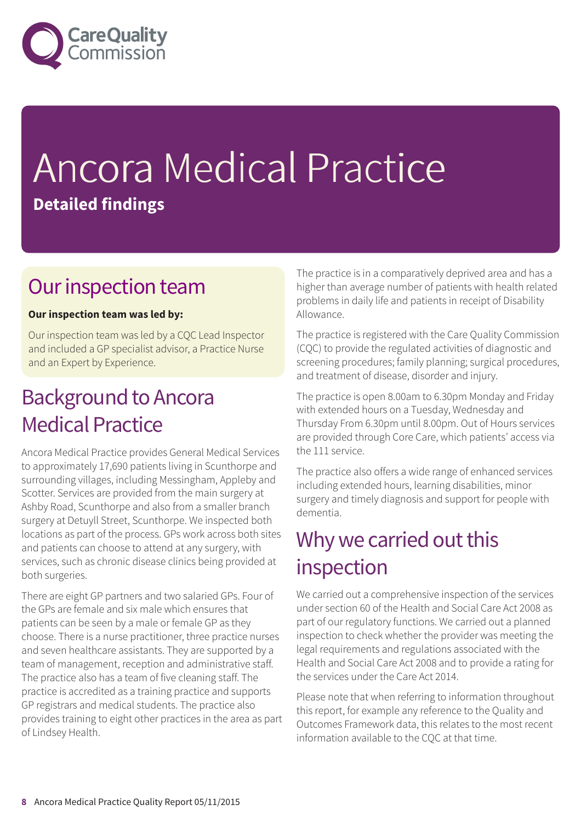

# Ancora Medical Practice **Detailed findings**

### Our inspection team

### **Our inspection team was led by:**

Our inspection team was led by a CQC Lead Inspector and included a GP specialist advisor, a Practice Nurse and an Expert by Experience.

### **Background to Ancora** Medical Practice

Ancora Medical Practice provides General Medical Services to approximately 17,690 patients living in Scunthorpe and surrounding villages, including Messingham, Appleby and Scotter. Services are provided from the main surgery at Ashby Road, Scunthorpe and also from a smaller branch surgery at Detuyll Street, Scunthorpe. We inspected both locations as part of the process. GPs work across both sites and patients can choose to attend at any surgery, with services, such as chronic disease clinics being provided at both surgeries.

There are eight GP partners and two salaried GPs. Four of the GPs are female and six male which ensures that patients can be seen by a male or female GP as they choose. There is a nurse practitioner, three practice nurses and seven healthcare assistants. They are supported by a team of management, reception and administrative staff. The practice also has a team of five cleaning staff. The practice is accredited as a training practice and supports GP registrars and medical students. The practice also provides training to eight other practices in the area as part of Lindsey Health.

The practice is in a comparatively deprived area and has a higher than average number of patients with health related problems in daily life and patients in receipt of Disability Allowance.

The practice is registered with the Care Quality Commission (CQC) to provide the regulated activities of diagnostic and screening procedures; family planning; surgical procedures, and treatment of disease, disorder and injury.

The practice is open 8.00am to 6.30pm Monday and Friday with extended hours on a Tuesday, Wednesday and Thursday From 6.30pm until 8.00pm. Out of Hours services are provided through Core Care, which patients' access via the 111 service.

The practice also offers a wide range of enhanced services including extended hours, learning disabilities, minor surgery and timely diagnosis and support for people with dementia.

### Why we carried out this inspection

We carried out a comprehensive inspection of the services under section 60 of the Health and Social Care Act 2008 as part of our regulatory functions. We carried out a planned inspection to check whether the provider was meeting the legal requirements and regulations associated with the Health and Social Care Act 2008 and to provide a rating for the services under the Care Act 2014.

Please note that when referring to information throughout this report, for example any reference to the Quality and Outcomes Framework data, this relates to the most recent information available to the CQC at that time.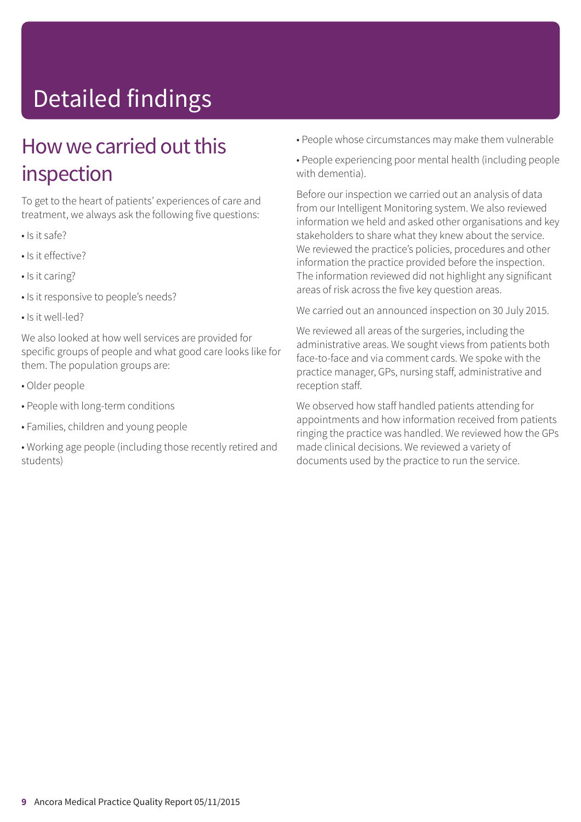# Detailed findings

### How we carried out this inspection

To get to the heart of patients' experiences of care and treatment, we always ask the following five questions:

- Is it safe?
- Is it effective?
- Is it caring?
- Is it responsive to people's needs?
- Is it well-led?

We also looked at how well services are provided for specific groups of people and what good care looks like for them. The population groups are:

- Older people
- People with long-term conditions
- Families, children and young people
- Working age people (including those recently retired and students)
- People whose circumstances may make them vulnerable
- People experiencing poor mental health (including people with dementia).

Before our inspection we carried out an analysis of data from our Intelligent Monitoring system. We also reviewed information we held and asked other organisations and key stakeholders to share what they knew about the service. We reviewed the practice's policies, procedures and other information the practice provided before the inspection. The information reviewed did not highlight any significant areas of risk across the five key question areas.

We carried out an announced inspection on 30 July 2015.

We reviewed all areas of the surgeries, including the administrative areas. We sought views from patients both face-to-face and via comment cards. We spoke with the practice manager, GPs, nursing staff, administrative and reception staff.

We observed how staff handled patients attending for appointments and how information received from patients ringing the practice was handled. We reviewed how the GPs made clinical decisions. We reviewed a variety of documents used by the practice to run the service.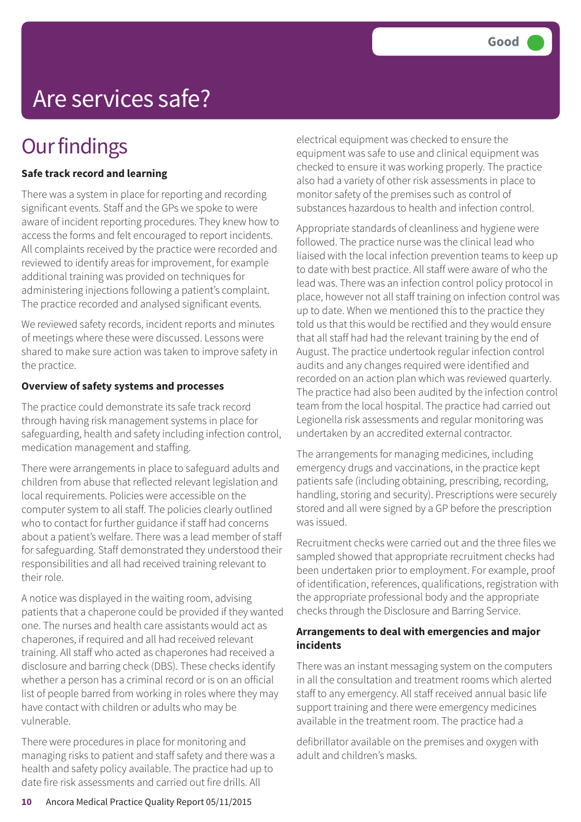## Are services safe?

### **Our findings**

### **Safe track record and learning**

There was a system in place for reporting and recording significant events. Staff and the GPs we spoke to were aware of incident reporting procedures. They knew how to access the forms and felt encouraged to report incidents. All complaints received by the practice were recorded and reviewed to identify areas for improvement, for example additional training was provided on techniques for administering injections following a patient's complaint. The practice recorded and analysed significant events.

We reviewed safety records, incident reports and minutes of meetings where these were discussed. Lessons were shared to make sure action was taken to improve safety in the practice.

#### **Overview of safety systems and processes**

The practice could demonstrate its safe track record through having risk management systems in place for safeguarding, health and safety including infection control, medication management and staffing.

There were arrangements in place to safeguard adults and children from abuse that reflected relevant legislation and local requirements. Policies were accessible on the computer system to all staff. The policies clearly outlined who to contact for further guidance if staff had concerns about a patient's welfare. There was a lead member of staff for safeguarding. Staff demonstrated they understood their responsibilities and all had received training relevant to their role.

A notice was displayed in the waiting room, advising patients that a chaperone could be provided if they wanted one. The nurses and health care assistants would act as chaperones, if required and all had received relevant training. All staff who acted as chaperones had received a disclosure and barring check (DBS). These checks identify whether a person has a criminal record or is on an official list of people barred from working in roles where they may have contact with children or adults who may be vulnerable.

There were procedures in place for monitoring and managing risks to patient and staff safety and there was a health and safety policy available. The practice had up to date fire risk assessments and carried out fire drills. All

electrical equipment was checked to ensure the equipment was safe to use and clinical equipment was checked to ensure it was working properly. The practice also had a variety of other risk assessments in place to monitor safety of the premises such as control of substances hazardous to health and infection control.

Appropriate standards of cleanliness and hygiene were followed. The practice nurse was the clinical lead who liaised with the local infection prevention teams to keep up to date with best practice. All staff were aware of who the lead was. There was an infection control policy protocol in place, however not all staff training on infection control was up to date. When we mentioned this to the practice they told us that this would be rectified and they would ensure that all staff had had the relevant training by the end of August. The practice undertook regular infection control audits and any changes required were identified and recorded on an action plan which was reviewed quarterly. The practice had also been audited by the infection control team from the local hospital. The practice had carried out Legionella risk assessments and regular monitoring was undertaken by an accredited external contractor.

The arrangements for managing medicines, including emergency drugs and vaccinations, in the practice kept patients safe (including obtaining, prescribing, recording, handling, storing and security). Prescriptions were securely stored and all were signed by a GP before the prescription was issued.

Recruitment checks were carried out and the three files we sampled showed that appropriate recruitment checks had been undertaken prior to employment. For example, proof of identification, references, qualifications, registration with the appropriate professional body and the appropriate checks through the Disclosure and Barring Service.

### **Arrangements to deal with emergencies and major incidents**

There was an instant messaging system on the computers in all the consultation and treatment rooms which alerted staff to any emergency. All staff received annual basic life support training and there were emergency medicines available in the treatment room. The practice had a

defibrillator available on the premises and oxygen with adult and children's masks.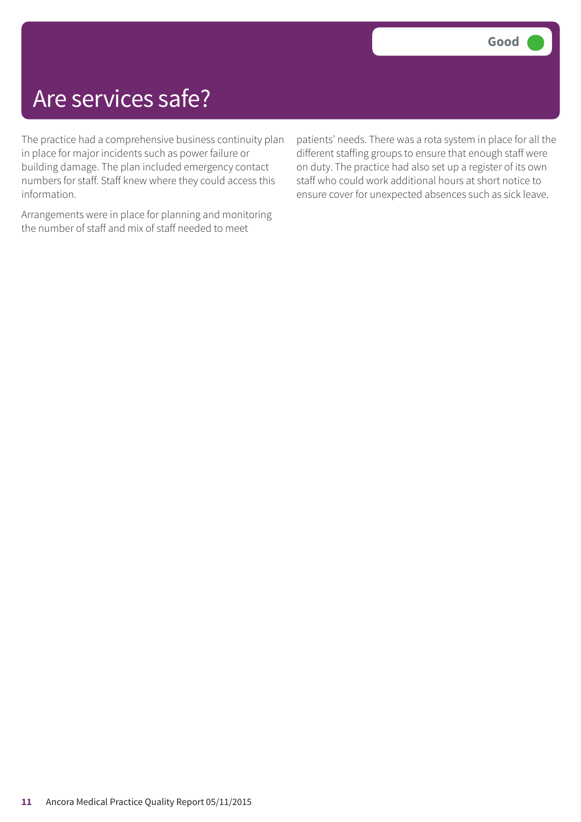## Are services safe?

The practice had a comprehensive business continuity plan in place for major incidents such as power failure or building damage. The plan included emergency contact numbers for staff. Staff knew where they could access this information.

Arrangements were in place for planning and monitoring the number of staff and mix of staff needed to meet

patients' needs. There was a rota system in place for all the different staffing groups to ensure that enough staff were on duty. The practice had also set up a register of its own staff who could work additional hours at short notice to ensure cover for unexpected absences such as sick leave.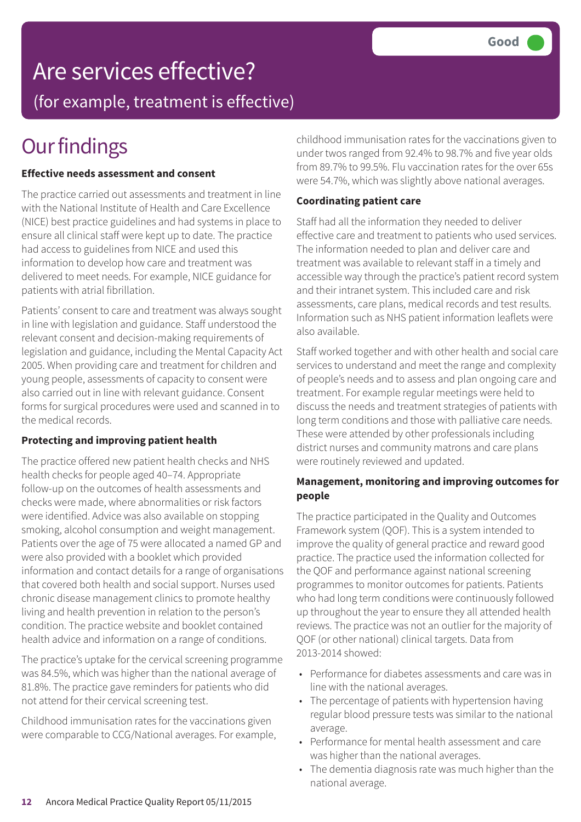# Are services effective?

(for example, treatment is effective)

## **Our findings**

### **Effective needs assessment and consent**

The practice carried out assessments and treatment in line with the National Institute of Health and Care Excellence (NICE) best practice guidelines and had systems in place to ensure all clinical staff were kept up to date. The practice had access to guidelines from NICE and used this information to develop how care and treatment was delivered to meet needs. For example, NICE guidance for patients with atrial fibrillation.

Patients' consent to care and treatment was always sought in line with legislation and guidance. Staff understood the relevant consent and decision-making requirements of legislation and guidance, including the Mental Capacity Act 2005. When providing care and treatment for children and young people, assessments of capacity to consent were also carried out in line with relevant guidance. Consent forms for surgical procedures were used and scanned in to the medical records.

### **Protecting and improving patient health**

The practice offered new patient health checks and NHS health checks for people aged 40–74. Appropriate follow-up on the outcomes of health assessments and checks were made, where abnormalities or risk factors were identified. Advice was also available on stopping smoking, alcohol consumption and weight management. Patients over the age of 75 were allocated a named GP and were also provided with a booklet which provided information and contact details for a range of organisations that covered both health and social support. Nurses used chronic disease management clinics to promote healthy living and health prevention in relation to the person's condition. The practice website and booklet contained health advice and information on a range of conditions.

The practice's uptake for the cervical screening programme was 84.5%, which was higher than the national average of 81.8%. The practice gave reminders for patients who did not attend for their cervical screening test.

Childhood immunisation rates for the vaccinations given were comparable to CCG/National averages. For example, childhood immunisation rates for the vaccinations given to under twos ranged from 92.4% to 98.7% and five year olds from 89.7% to 99.5%. Flu vaccination rates for the over 65s were 54.7%, which was slightly above national averages.

### **Coordinating patient care**

Staff had all the information they needed to deliver effective care and treatment to patients who used services. The information needed to plan and deliver care and treatment was available to relevant staff in a timely and accessible way through the practice's patient record system and their intranet system. This included care and risk assessments, care plans, medical records and test results. Information such as NHS patient information leaflets were also available.

Staff worked together and with other health and social care services to understand and meet the range and complexity of people's needs and to assess and plan ongoing care and treatment. For example regular meetings were held to discuss the needs and treatment strategies of patients with long term conditions and those with palliative care needs. These were attended by other professionals including district nurses and community matrons and care plans were routinely reviewed and updated.

### **Management, monitoring and improving outcomes for people**

The practice participated in the Quality and Outcomes Framework system (QOF). This is a system intended to improve the quality of general practice and reward good practice. The practice used the information collected for the QOF and performance against national screening programmes to monitor outcomes for patients. Patients who had long term conditions were continuously followed up throughout the year to ensure they all attended health reviews. The practice was not an outlier for the majority of QOF (or other national) clinical targets. Data from 2013-2014 showed:

- Performance for diabetes assessments and care was in line with the national averages.
- The percentage of patients with hypertension having regular blood pressure tests was similar to the national average.
- Performance for mental health assessment and care was higher than the national averages.
- The dementia diagnosis rate was much higher than the national average.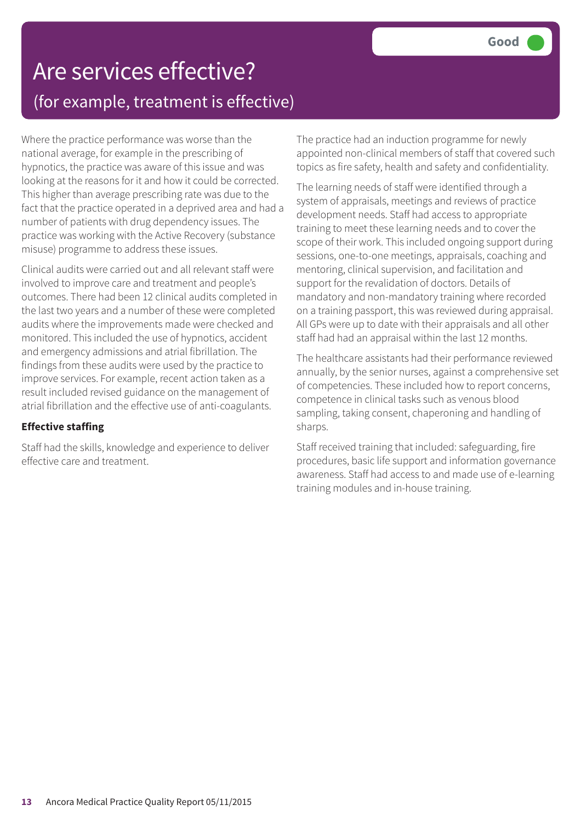## Are services effective? (for example, treatment is effective)

Where the practice performance was worse than the national average, for example in the prescribing of hypnotics, the practice was aware of this issue and was looking at the reasons for it and how it could be corrected. This higher than average prescribing rate was due to the fact that the practice operated in a deprived area and had a number of patients with drug dependency issues. The practice was working with the Active Recovery (substance misuse) programme to address these issues.

Clinical audits were carried out and all relevant staff were involved to improve care and treatment and people's outcomes. There had been 12 clinical audits completed in the last two years and a number of these were completed audits where the improvements made were checked and monitored. This included the use of hypnotics, accident and emergency admissions and atrial fibrillation. The findings from these audits were used by the practice to improve services. For example, recent action taken as a result included revised guidance on the management of atrial fibrillation and the effective use of anti-coagulants.

### **Effective staffing**

Staff had the skills, knowledge and experience to deliver effective care and treatment.

The practice had an induction programme for newly appointed non-clinical members of staff that covered such topics as fire safety, health and safety and confidentiality.

The learning needs of staff were identified through a system of appraisals, meetings and reviews of practice development needs. Staff had access to appropriate training to meet these learning needs and to cover the scope of their work. This included ongoing support during sessions, one-to-one meetings, appraisals, coaching and mentoring, clinical supervision, and facilitation and support for the revalidation of doctors. Details of mandatory and non-mandatory training where recorded on a training passport, this was reviewed during appraisal. All GPs were up to date with their appraisals and all other staff had had an appraisal within the last 12 months.

The healthcare assistants had their performance reviewed annually, by the senior nurses, against a comprehensive set of competencies. These included how to report concerns, competence in clinical tasks such as venous blood sampling, taking consent, chaperoning and handling of sharps.

Staff received training that included: safeguarding, fire procedures, basic life support and information governance awareness. Staff had access to and made use of e-learning training modules and in-house training.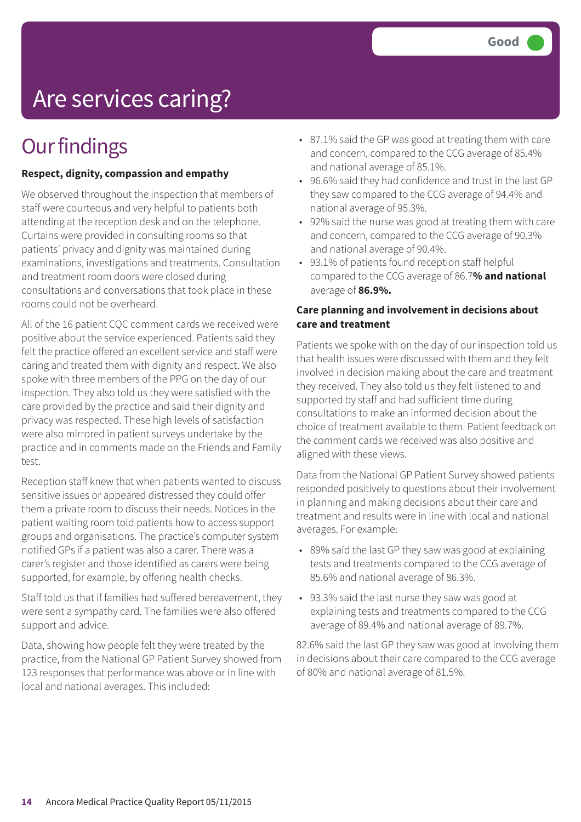# Are services caring?

### **Our findings**

### **Respect, dignity, compassion and empathy**

We observed throughout the inspection that members of staff were courteous and very helpful to patients both attending at the reception desk and on the telephone. Curtains were provided in consulting rooms so that patients' privacy and dignity was maintained during examinations, investigations and treatments. Consultation and treatment room doors were closed during consultations and conversations that took place in these rooms could not be overheard.

All of the 16 patient CQC comment cards we received were positive about the service experienced. Patients said they felt the practice offered an excellent service and staff were caring and treated them with dignity and respect. We also spoke with three members of the PPG on the day of our inspection. They also told us they were satisfied with the care provided by the practice and said their dignity and privacy was respected. These high levels of satisfaction were also mirrored in patient surveys undertake by the practice and in comments made on the Friends and Family test.

Reception staff knew that when patients wanted to discuss sensitive issues or appeared distressed they could offer them a private room to discuss their needs. Notices in the patient waiting room told patients how to access support groups and organisations. The practice's computer system notified GPs if a patient was also a carer. There was a carer's register and those identified as carers were being supported, for example, by offering health checks.

Staff told us that if families had suffered bereavement, they were sent a sympathy card. The families were also offered support and advice.

Data, showing how people felt they were treated by the practice, from the National GP Patient Survey showed from 123 responses that performance was above or in line with local and national averages. This included:

- 87.1% said the GP was good at treating them with care and concern, compared to the CCG average of 85.4% and national average of 85.1%.
- 96.6% said they had confidence and trust in the last GP they saw compared to the CCG average of 94.4% and national average of 95.3%.
- 92% said the nurse was good at treating them with care and concern, compared to the CCG average of 90.3% and national average of 90.4%.
- 93.1% of patients found reception staff helpful compared to the CCG average of 86.7**% and national** average of **86.9%.**

### **Care planning and involvement in decisions about care and treatment**

Patients we spoke with on the day of our inspection told us that health issues were discussed with them and they felt involved in decision making about the care and treatment they received. They also told us they felt listened to and supported by staff and had sufficient time during consultations to make an informed decision about the choice of treatment available to them. Patient feedback on the comment cards we received was also positive and aligned with these views.

Data from the National GP Patient Survey showed patients responded positively to questions about their involvement in planning and making decisions about their care and treatment and results were in line with local and national averages. For example:

- 89% said the last GP they saw was good at explaining tests and treatments compared to the CCG average of 85.6% and national average of 86.3%.
- 93.3% said the last nurse they saw was good at explaining tests and treatments compared to the CCG average of 89.4% and national average of 89.7%.

82.6% said the last GP they saw was good at involving them in decisions about their care compared to the CCG average of 80% and national average of 81.5%.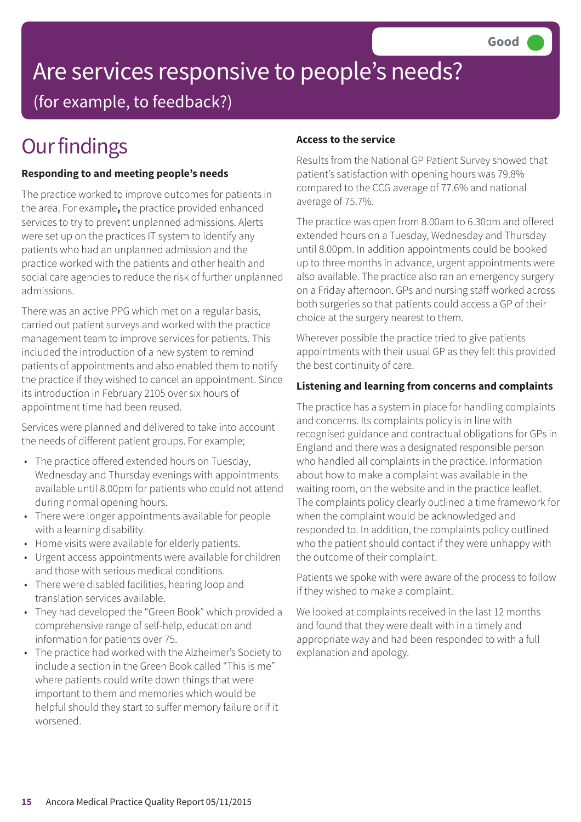### Are services responsive to people's needs? (for example, to feedback?)

## **Our findings**

### **Responding to and meeting people's needs**

The practice worked to improve outcomes for patients in the area. For example**,** the practice provided enhanced services to try to prevent unplanned admissions. Alerts were set up on the practices IT system to identify any patients who had an unplanned admission and the practice worked with the patients and other health and social care agencies to reduce the risk of further unplanned admissions.

There was an active PPG which met on a regular basis, carried out patient surveys and worked with the practice management team to improve services for patients. This included the introduction of a new system to remind patients of appointments and also enabled them to notify the practice if they wished to cancel an appointment. Since its introduction in February 2105 over six hours of appointment time had been reused.

Services were planned and delivered to take into account the needs of different patient groups. For example;

- The practice offered extended hours on Tuesday, Wednesday and Thursday evenings with appointments available until 8.00pm for patients who could not attend during normal opening hours.
- There were longer appointments available for people with a learning disability.
- Home visits were available for elderly patients.
- Urgent access appointments were available for children and those with serious medical conditions.
- There were disabled facilities, hearing loop and translation services available.
- They had developed the "Green Book" which provided a comprehensive range of self-help, education and information for patients over 75.
- The practice had worked with the Alzheimer's Society to include a section in the Green Book called "This is me" where patients could write down things that were important to them and memories which would be helpful should they start to suffer memory failure or if it worsened.

#### **Access to the service**

Results from the National GP Patient Survey showed that patient's satisfaction with opening hours was 79.8% compared to the CCG average of 77.6% and national average of 75.7%.

The practice was open from 8.00am to 6.30pm and offered extended hours on a Tuesday, Wednesday and Thursday until 8.00pm. In addition appointments could be booked up to three months in advance, urgent appointments were also available. The practice also ran an emergency surgery on a Friday afternoon. GPs and nursing staff worked across both surgeries so that patients could access a GP of their choice at the surgery nearest to them.

Wherever possible the practice tried to give patients appointments with their usual GP as they felt this provided the best continuity of care.

### **Listening and learning from concerns and complaints**

The practice has a system in place for handling complaints and concerns. Its complaints policy is in line with recognised guidance and contractual obligations for GPs in England and there was a designated responsible person who handled all complaints in the practice. Information about how to make a complaint was available in the waiting room, on the website and in the practice leaflet. The complaints policy clearly outlined a time framework for when the complaint would be acknowledged and responded to. In addition, the complaints policy outlined who the patient should contact if they were unhappy with the outcome of their complaint.

Patients we spoke with were aware of the process to follow if they wished to make a complaint.

We looked at complaints received in the last 12 months and found that they were dealt with in a timely and appropriate way and had been responded to with a full explanation and apology.